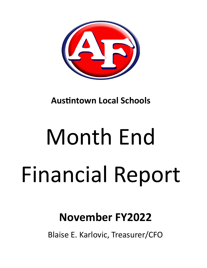

**Austintown Local Schools** 

# Month End Financial Report

# **November FY2022**

Blaise E. Karlovic, Treasurer/CFO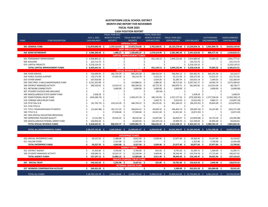### **AUSTINTOWN LOCAL SCHOOL DISTRICT MONTH END REPORT FOR NOVEMBER FISCAL YEAR 2022 CASH POSITION REPORT**

|             |                                         |    |                     |                       | FISCAL YEAR 2022     |      |                                   |      | FISCAL YEAR 2022     |     |                                                                                                    |      |                                                   |      |                    |    |                     |
|-------------|-----------------------------------------|----|---------------------|-----------------------|----------------------|------|-----------------------------------|------|----------------------|-----|----------------------------------------------------------------------------------------------------|------|---------------------------------------------------|------|--------------------|----|---------------------|
|             |                                         |    | <b>JULY 1, 2021</b> |                       | <b>MONTH TO DATE</b> |      | FISCAL YEAR 2022                  |      | <b>MONTH TO DATE</b> |     | FISCAL YEAR 2022                                                                                   |      |                                                   |      | <b>OUTSTANDING</b> |    | <b>UNENCUMBERED</b> |
| <b>FUND</b> | <b>FUND DESCRIPTION</b>                 |    | <b>CASH BALANCE</b> |                       | <b>RECEIPTS</b>      |      | <b>RECEIPTS</b>                   |      | <b>EXPENDITURES</b>  |     | <b>EXPENDITURES</b>                                                                                |      | CASH BALANCE ENCUMBRANCES                         |      |                    |    | <b>CASH BALANCE</b> |
|             |                                         |    |                     |                       |                      |      | <b>GENERAL FUND</b>               |      |                      |     |                                                                                                    |      |                                                   |      |                    |    |                     |
|             | 001 GENERAL FUND                        |    | $$13,879,600.39$ \$ |                       |                      |      |                                   |      |                      |     | 1,737,114.57 \$ 17,473,713.45 \$ 3,702,628.91 \$ 18,133,279.68 \$ 13,220,034.16 \$ 2,401,894.76 \$ |      |                                                   |      |                    |    | 10,818,139.40       |
|             |                                         |    |                     |                       |                      |      | <b>DEBT SERVICE FUND</b>          |      |                      |     |                                                                                                    |      |                                                   |      |                    |    |                     |
|             | 002 BOND RETIREMENT                     |    | \$3,586,200.64\$    |                       | $1,486.27$ \$        |      | 1,336,695.27 \$                   |      | 1,579,154.99 \$      |     |                                                                                                    |      | 2,581,485.28 \$ 2,341,410.63 \$                   |      | 806,577.42 \$      |    | 1,534,833.21        |
|             |                                         |    |                     |                       |                      |      | <b>CAPITAL IMPROVEMENT FUNDS</b>  |      |                      |     |                                                                                                    |      |                                                   |      |                    |    |                     |
|             | 003 PERMANENT IMPROVEMENT               |    | \$2,958,803.52\$    |                       |                      | Ś.   | $\sim$                            | \$   | 431,134.13 \$        |     | 1,044,122.96 \$                                                                                    |      | 1,914,680.56 \$                                   |      | 72,903.25 \$       |    | 1,841,777.31        |
|             | 004 BUILDING                            | Ś. | 125,713.75 \$       |                       |                      |      |                                   | S    |                      | Ŝ   |                                                                                                    | -Ś   | 125,713.75 \$                                     |      |                    | \$ | 125,713.75          |
|             | 070 CAPITAL PROJECTS                    |    | \$3,218,124.25      |                       |                      |      |                                   |      |                      |     |                                                                                                    | Ŝ.   | 3,218,124.25 \$                                   |      |                    | Ŝ  | 3,218,124.25        |
|             | TOTAL CAPITAL IMPROVEMENT FUNDS         |    | \$6,302,641.52\$    |                       |                      |      |                                   |      | 431,134.13 \$        |     |                                                                                                    |      | 1,044,122.96 \$ 5,258,518.56 \$                   |      | 72,903.25 \$       |    | 5,185,615.31        |
|             |                                         |    |                     |                       |                      |      | <b>SPECIAL REVENUE FUNDS</b>      |      |                      |     |                                                                                                    |      |                                                   |      |                    |    |                     |
|             | 006 FOOD SERVICE                        | Ś. | 716,690.95 \$       |                       | 282,724.39 \$        |      | 685,202.08 \$                     |      | 188,456.59 \$        |     | 766,491.12 \$                                                                                      |      | 635,401.91 \$                                     |      | 602,291.64 \$      |    | 33,110.27           |
|             | 018 PUBLIC SCHOOL SUPPORT               |    | 176,171.09 \$       |                       | 37,943.59 \$         |      | 85,214.78 \$                      |      | $5,322.24$ \$        |     | 25,111.94 \$                                                                                       |      | 236,273.93 \$                                     |      | 14,522.37 \$       |    | 221,751.56          |
|             | 019 OTHER GRANT                         |    | 167,916.88 \$       |                       |                      | \$   | $\omega$                          | -S   | 5,424.26 \$          |     | 32,285.74 \$                                                                                       |      | 135,631.14 \$                                     |      | $3,364.55$ \$      |    | 132,266.59          |
|             | 034 OSFC PROJ-.5 MILLS MAINTENANCE FUND |    | 3,521,355.08 \$     |                       |                      | Ŝ    | 124,888.61 \$                     |      | 1,886.20 \$          |     | 48,711.92 \$                                                                                       |      | 3,597,531.77 \$                                   |      | 24,942.74 \$       |    | 3,572,589.03        |
|             | 300 DISTRICT MANAGED ACTIVITY           |    | 189,320.02 \$       |                       | 13,414.13            | - Ś  | 189,200.50 \$                     |      | 20,775.70 \$         |     | 196,876.71 \$                                                                                      |      | 181,643.81 \$                                     |      | 112,915.04 \$      |    | 68,728.77           |
|             | 451 NETWORK CONNECTIVITY                |    |                     | Ś                     | $3,600.00$ \$        |      | 3,600.00                          | - \$ | $3,600.00$ \$        |     | 3,600.00 \$                                                                                        |      |                                                   | Ŝ.   | $3,600.00$ \$      |    | (3,600.00)          |
|             | 467 STUDENT SUCCESS AND WELLNESS        |    |                     | Ś                     |                      | Ŝ    |                                   | S    | $(30.24)$ \$         |     | $\sim$                                                                                             | \$.  |                                                   | Ŝ.   |                    | \$ |                     |
|             | 499 MISCELLANEOUS STATE GRANT FUND      |    | 1,458.29 \$         |                       |                      |      |                                   |      |                      | -\$ |                                                                                                    |      | 1,458.29 \$                                       |      |                    | Ś. | 1,458.29            |
|             | 507 ESSER FEDERAL RELIEF FUND           |    | $(426, 289.74)$ \$  |                       |                      | S    | 1,304,257.14                      | -S   | 186,742.69           | -S  | 1,257,177.23                                                                                       | - S  | $(379, 209.83)$ \$                                |      | 1,577,558.34       | Ŝ. | (1,956,768.17)      |
|             | 510 CORONA VIRUS RELIEF FUND            |    |                     |                       |                      |      |                                   |      | $1,002.75$ \$        |     | $5,013.93$ \$                                                                                      |      | $(5,013.93)$ \$                                   |      | $9,883.17$ \$      |    | (14, 897.10)        |
|             | 516 FY19 Title VI-B                     |    | $(41,791.73)$ \$    |                       | 210,133.29           | - \$ | 348,750.37 \$                     |      | 94,225.91 \$         |     | 401,184.55 \$                                                                                      |      | $(94, 225.91)$ \$                                 |      | 29,645.00 \$       |    | (123, 870.91)       |
|             | 551 FY20 TITLE III                      |    |                     | .S                    |                      | \$.  |                                   | -S   |                      | -\$ |                                                                                                    | -\$  |                                                   | - \$ |                    | Ś  |                     |
|             | 572 TITLE I DISADVANTAGED STUDENTS      |    | $(15, 462.88)$ \$   |                       | 181,712.24 \$        |      | 260,816.52 \$                     |      | 49,049.10            | - Ś | 294,402.74 \$                                                                                      |      | $(49,049.10)$ \$                                  |      | 54,222.80          | -Ś | (103, 271.90)       |
|             | 584 TITLE IV-A                          |    |                     | .s                    | 37,948.68 \$         |      | 37,948.68 \$                      |      | 41,821.60 \$         |     | 41,821.60 \$                                                                                       |      | $(3,872.92)$ \$                                   |      | $\sim$             | \$ | (3,872.92)          |
|             | 587 IDEA SPECIAL EDUCATION PRESCHOOL    |    |                     | $\breve{\phantom{1}}$ |                      | Ŝ.   |                                   | Ŝ    | $\sim$               | Ŝ.  |                                                                                                    | - \$ | $-5$                                              |      | $\blacksquare$     | Ś. |                     |
|             | 590 IMPROVING TEACHER QUALITY           |    | $(1,531.09)$ \$     |                       | 39,443.45 \$         |      | 48,520.38 \$                      |      | 14,697.80 \$         |     | 60,839.97 \$                                                                                       |      | $(13,850.68)$ \$                                  |      | 20,733.20 \$       |    | (34, 583.88)        |
|             | 599 MISCELLANEOUS FEDERAL GRANT FUND    |    | 140,856.04 \$       |                       |                      |      | 10,683.69 \$                      |      | $(26,329.15)$ \$     |     | 29,990.70 \$                                                                                       |      | 121,549.03 \$                                     |      | 26,904.40 \$       |    | 94,644.63           |
|             | TOTAL SPECIAL REVENUE FUNDS             |    | $$4,428,692.91$ \$  |                       | 806,919.77 \$        |      | 3,099,082.75 \$                   |      | 586,645.45 \$        |     | 3,163,508.15                                                                                       | - \$ | 4,364,267.51 \$                                   |      | 2,480,583.25 \$    |    | 1,883,684.26        |
|             |                                         |    |                     |                       |                      |      |                                   |      |                      |     |                                                                                                    |      |                                                   |      |                    |    |                     |
|             | TOTAL ALL GOVERNMENTAL FUNDS            |    | $$28,197,135.46$ \$ |                       | 2,545,520.61 \$      |      | 21,909,491.47 \$                  |      | $6,299,563.48$ \$    |     |                                                                                                    |      | 24,922,396.07 \$ 25,184,230.86 \$ 5,761,958.68 \$ |      |                    |    | 19,422,272.18       |
|             |                                         |    |                     |                       |                      |      |                                   |      |                      |     |                                                                                                    |      |                                                   |      |                    |    |                     |
|             |                                         |    |                     |                       |                      |      | <b>ENTERPRISE FUNDS</b>           |      |                      |     |                                                                                                    |      |                                                   |      |                    |    |                     |
|             | 020 SPECIAL ENTERPRISE FUND             | Ś  | 59,227.55 \$        |                       | 2,288.00 \$          |      | $8,012.50$ \$                     |      | $5,039.46$ \$        |     | 27,677.40 \$                                                                                       |      | 39,562.65 \$                                      |      | 23,327.83 \$       |    | 16,234.82           |
|             | 011 FALCON STORE                        |    |                     | ς.                    | $1,315.00$ \$        |      | $1,315.00$ \$                     |      |                      | Ŝ.  |                                                                                                    | Ŝ    | 1,315.00 \$                                       |      | 3,750.00 \$        |    | (2,435.00)          |
|             | <b>TOTAL ENTERPRISE FUNDS</b>           | Ś  | 59,227.55 \$        |                       | $3,603.00$ \$        |      | $9,327.50$ \$                     |      | $5,039.46$ \$        |     | 27,677.40 \$                                                                                       |      | 40,877.65 \$                                      |      | 27,077.83 \$       |    | 13,799.82           |
|             |                                         |    |                     |                       |                      |      | <b>AGENCY FUNDS</b>               |      |                      |     |                                                                                                    |      |                                                   |      |                    |    |                     |
|             | 022 DISTRICT AGENCY                     | \$ | 27,426.80 \$        |                       | 4,760.00 \$          |      | 4,760.00 \$                       |      | 841.60 \$            |     | 9,791.09 \$                                                                                        |      | 22,395.71 \$                                      |      | $1,300.00$ \$      |    | 21,095.71           |
|             | 200 STUDENT MANAGED ACTIVITY            |    | 109,680.32 \$       |                       | $10,325.15$ \$       |      | 52,339.84 \$                      |      | 3,069.80 \$          |     | 28,269.40 \$                                                                                       |      | 133,750.76 \$                                     |      | 27,722.84 \$       |    | 106,027.92          |
|             | <b>TOTAL AGENCY FUNDS</b>               | \$ | 137,107.12 \$       |                       | 15,085.15 \$         |      | 57,099.84 \$                      |      | $3,911.40$ \$        |     | 38,060.49 \$                                                                                       |      | 156,146.47 \$                                     |      | 29,022.84 \$       |    | 127,123.63          |
|             |                                         |    |                     |                       |                      |      | <b>PRIVATE PURPOSE TRUST FUND</b> |      |                      |     |                                                                                                    |      |                                                   |      |                    |    |                     |
|             | 007 SPECIAL TRUST                       |    | \$144,232.62\$      |                       | $1,245.90$ \$        |      | $8,167.61$ \$                     |      | 325.00 \$            |     | 19,781.00 \$                                                                                       |      | 132,619.23 \$                                     |      | $3,945.00$ \$      |    | 128,674.23          |
|             |                                         |    |                     |                       |                      |      | <b>INTERNAL SERVICE FUND</b>      |      |                      |     |                                                                                                    |      |                                                   |      |                    |    |                     |
|             | 027 WORKERS COMPENSATION ACCOUNT        |    | \$244,431.03\$      |                       | $\sim 100$           | Ŝ.   | $-5$                              |      | $-5$                 |     | $1,500.00$ \$                                                                                      |      | 242,931.03 \$                                     |      | 183,000.00 \$      |    | 59,931.03           |
|             |                                         |    |                     |                       |                      |      |                                   |      |                      |     |                                                                                                    |      |                                                   |      |                    |    |                     |
|             | <b>TOTAL ALL FUNDS</b>                  |    | $$28,782,133.78$ \$ |                       | 2,564,139.66 \$      |      | 21,982,771.42 \$                  |      | $6,308,514.34$ \$    |     |                                                                                                    |      | 25,009,414.96 \$ 25,756,805.24 \$                 |      | $6,001,254.35$ \$  |    | 19,754,235.89       |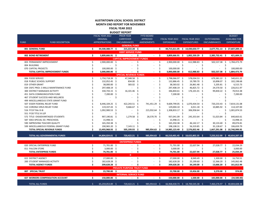### **AUSTINTOWN LOCAL SCHOOL DISTRICT MONTH END REPORT FOR NOVEMBER**

**FISCAL YEAR 2022 BUDGET REPORT**

|             |                                         |    | FISCAL YEAR 2022      | <b>PRIOR YEAR</b>                 | <b>FYTD BOARD</b>                            |     |                   |                                   |      |                     | <b>BUDGET</b>                 |
|-------------|-----------------------------------------|----|-----------------------|-----------------------------------|----------------------------------------------|-----|-------------------|-----------------------------------|------|---------------------|-------------------------------|
|             |                                         |    | <b>ORIGINAL</b>       | <b>CARRYOVER</b>                  | <b>APPROVED</b>                              |     | FISCAL YEAR 2022  | <b>FISCAL YEAR 2022</b>           |      | <b>OUTSTANDING</b>  | <b>AVAILABLE FOR</b>          |
| <b>FUND</b> | <b>FUND DESCRIPTION</b>                 |    | <b>APPROPRIATIONS</b> | <b>ENCUMBRANCES</b>               | <b>AMENDMENTS</b>                            |     | <b>EXPENDABLE</b> | <b>EXPENDITURES</b>               |      | <b>ENCUMBRANCES</b> | <b>EXPENDITURE</b>            |
|             |                                         |    |                       | <b>GENERAL FUND</b>               |                                              |     |                   |                                   |      |                     |                               |
|             | 001 GENERAL FUND                        | \$ | 44,500,388.77 \$      | 215,222.28 \$                     | $\sim 100$                                   | - Ś |                   | 44,715,611.05 \$ 14,430,650.77 \$ |      |                     | 2,677,751.13 \$ 27,607,209.15 |
|             |                                         |    |                       | <b>DEBT SERVICE FUND</b>          |                                              |     |                   |                                   |      |                     |                               |
|             | 002 BOND RETIREMENT                     | \$ | 3,809,666.91 \$       | $\sim 100$                        | \$<br>$\sim 100$                             | \$. |                   | 3,809,666.91 \$ 1,002,330.29 \$   |      | 2,385,732.41 \$     | 421,604.21                    |
|             |                                         |    |                       | <b>CAPITAL IMPROVEMENT FUNDS</b>  |                                              |     |                   |                                   |      |                     |                               |
|             | 003 PERMANENT IMPROVEMENT               |    | 2,900,000.00 \$       |                                   | Ś<br>$\sim$                                  | \$  | 2,900,000.00 \$   | 612,988.83 \$                     |      | 502,537.38 \$       | 1,784,473.79                  |
|             | 004 BUILDING                            |    |                       |                                   |                                              | \$  |                   | \$                                |      |                     |                               |
|             | 070 CAPITAL PROJECTS                    |    | 100,000.00            | .S                                |                                              | Ś   | 100,000.00 \$     |                                   |      |                     | 100,000.00                    |
|             | TOTAL CAPITAL IMPROVEMENT FUNDS         |    | 3,000,000.00 \$       |                                   |                                              |     | 3,000,000.00 \$   | 612,988.83 \$                     |      | 502,537.38 \$       | 1,884,473.79                  |
|             |                                         |    |                       | <b>SPECIAL REVENUE FUNDS</b>      |                                              |     |                   |                                   |      |                     |                               |
|             | 006 FOOD SERVICE                        | Ŝ. | 1,750,718.39          | 47,348.58 \$<br>- \$              |                                              | \$  | 1,798,066.97 \$   | 578,034.53 \$                     |      | 679,381.22 \$       | 540,651.22                    |
|             | 018 PUBLIC SCHOOL SUPPORT               |    | 132,052.45 \$         | 834.00 \$                         |                                              | Ś   | 132,886.45 \$     | 19,789.70 \$                      |      | 10,898.07 \$        | 102,198.68                    |
|             | 019 OTHER GRANT                         |    | 38,000.00             | 583.02<br>-\$                     | Ŝ.                                           |     | 38,583.02 \$      | 26,861.48 \$                      |      | $5,205.81$ \$       | 6,515.73                      |
|             | 034 OSFC PROJ-.5 MILLS MAINTENANCE FUND |    | 297,408.19 \$         |                                   |                                              |     | 297,408.19 \$     | 46,825.72 \$                      |      | 24,570.50 \$        | 226,011.97                    |
|             | 300 DISTRICT MANAGED ACTIVITY           |    | 330,743.15 \$         | 16,101.46                         | .S                                           |     | 346,844.61 \$     | 176,101.01                        | -\$  | 99,830.22 \$        | 70,913.38                     |
|             | 451 DATA COMMUNICATION FUND             |    | 7,200.00              | -\$                               |                                              |     | 7,200.00          | -\$                               |      |                     | 7,200.00                      |
|             | 467 STUDENT SUCCESS AND WELLNESS        |    |                       | Ś                                 |                                              |     |                   | Ŝ                                 |      |                     |                               |
|             | 499 MISCELLANEOUS STATE GRANT FUND      |    |                       |                                   |                                              |     |                   |                                   |      |                     |                               |
|             | 507 ESSER FEDERAL RELIEF FUND           |    | 8,446,104.25          | 422,243.51<br>-S                  | 741,451.29<br>-S                             | S   | 9,609,799.05      | 1,070,434.54<br>-S                |      | 720,233.43          | 7,819,131.08<br>-Ś            |
|             | 510 CORONA VIRUS RELIEF FUND            |    | 119,337.43 \$         | $9,666.67$ \$                     |                                              |     | 129,004.10 \$     | 4,011.18                          | -S   | 10,885.92 \$        | 114,107.00                    |
|             | 516 FY19 Title VI-B                     |    | 1,092,900.53          | - \$                              | 215,932.64<br>.S                             | Ŝ.  | 1,308,833.17 \$   | 306,958.64                        | .s   |                     | Ś<br>1,001,874.53             |
|             | 551 FY20 TITLE III LEP                  |    |                       | Ś                                 |                                              | Ś   |                   | \$                                | Ŝ    |                     | Ś                             |
|             | 572 TITLE I DISADVANTAGED STUDENTS      |    | 907,190.81            | 1,279.58<br>- \$                  | 28,570.70                                    | Ŝ.  | 937,041.09        | 245,353.64<br>- Ś                 |      | 51,023.84           | - S<br>640,663.61             |
|             | 587 IDEA SPECIAL ED. PRESCHOOL          |    | 15,998.15             |                                   |                                              |     | 15,998.15 \$      |                                   |      |                     | 15,998.15                     |
|             | 590 IMPROVING TEACHER QUALITY           |    | 165,350.38 \$         |                                   |                                              |     | 165,350.38 \$     | 46,142.17 \$                      |      | 30,133.40 \$        | 89,074.81                     |
|             | 599 MISCELLANEOUS FEDERAL GRANT FUND    |    | 190,965.20 \$         | 7,143.11                          |                                              |     | 198,108.31 \$     | 56,319.85 \$                      |      | 35,128.67 \$        | 106,659.79                    |
|             | TOTAL SPECIAL REVENUE FUNDS             |    | 13,493,968.93 \$      | 505,199.93 \$                     | 985,954.63                                   | -S  | 14,985,123.49     | 2,576,832.46<br>- \$              | - \$ | 1,667,291.08        | \$10,740,999.95               |
|             |                                         |    |                       |                                   |                                              |     |                   |                                   |      |                     |                               |
|             | TOTAL ALL GOVERNMENTAL FUNDS            | Ś  | 64,804,024.61 \$      | 720,422.21 \$                     | 985,954.63 \$                                |     |                   | 66,510,401.45 \$ 18,622,802.35 \$ |      |                     | 7,233,312.00 \$ 40,654,287.10 |
|             |                                         |    |                       |                                   |                                              |     |                   |                                   |      |                     |                               |
|             |                                         |    |                       | <b>ENTERPRISE FUNDS</b>           |                                              |     |                   |                                   |      |                     |                               |
|             | 020 SPECIAL ENTERPRISE FUND             | Ś  | 71,701.00 \$          |                                   | \$                                           | \$  | 71,701.00 \$      | 22,637.94 \$                      |      | 27,028.77 \$        | 22,034.29                     |
|             | 011 FALCON STORE                        |    | 3,000.00              | -\$                               |                                              | Ś   | $3,000.00$ \$     |                                   |      |                     | \$<br>3,000.00                |
|             | <b>TOTAL ENTERPRISE FUNDS</b>           |    | 74,701.00 \$          |                                   |                                              | Ś   | 74,701.00 \$      | 22,637.94 \$                      |      | 27,028.77 \$        | 25,034.29                     |
|             |                                         |    |                       | $\mathbf{0}$                      |                                              |     |                   |                                   |      |                     |                               |
|             | 022 DISTRICT AGENCY                     | Ś  | 27,000.00 \$          |                                   | \$                                           | \$  | 27,000.00 \$      | 8,949.49 \$                       |      | $1,300.00$ \$       | 16,750.51                     |
|             | <b>200 STUDENT MANAGED ACTIVITY</b>     |    | 182,628.28 \$         |                                   |                                              |     | 182,628.28 \$     | 25,199.60 \$                      |      | 12,366.20 \$        | 145,062.48                    |
|             | <b>TOTAL AGENCY FUNDS</b>               |    | 209,628.28 \$         |                                   |                                              | Ś.  | 209,628.28 \$     | 34,149.09 \$                      |      | 13,666.20 \$        | 161,812.99                    |
|             |                                         |    |                       | <b>PRIVATE PURPOSE TRUST FUND</b> |                                              |     |                   |                                   |      |                     |                               |
|             | 007 SPECIAL TRUST                       | \$ | 23,700.00 \$          | $\sim 100$                        | $\mathsf{\mathsf{S}}$<br>$\omega_{\rm{max}}$ | \$  | 23,700.00 \$      | 19,456.00 \$                      |      | 3,270.00 \$         | 974.00                        |
|             |                                         |    |                       | <b>INTERNAL SERVICE FUND</b>      |                                              |     |                   |                                   |      |                     |                               |
|             | 027 WORKERS COMPENSATION ACCOUNT        | \$ | 150,000.00 \$         | $\mathcal{L}_{\rm{max}}$          | \$<br>$\sim$                                 | \$  | 150,000.00 \$     | $1,500.00$ \$                     |      | 183,000.00 \$       | (34,500.00)                   |

TOTAL ALL FUNDS \$ 65,259,053.89 \$ 720,422.21 \$ 985,954.63 \$ 66,968,430.73 \$ 18,700,545.38 \$ 7,460,276.97 \$ 40,804,608.38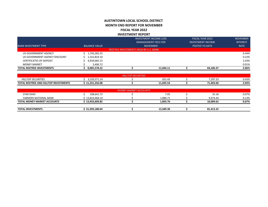### **AUSTINTOWN LOCAL SCHOOL DISTRICT MONTH END REPORT FOR NOVEMBER FISCAL YEAR 2022 INVESTMENT REPORT**

| <b>TOTAL REDTREE INVESTMENTS</b> | 8.005.578.22         |                                       | 11.044.11                     | 64.106.37                | 2.06%           |
|----------------------------------|----------------------|---------------------------------------|-------------------------------|--------------------------|-----------------|
| <b>MONEY MARKET</b>              | 5,406.72             |                                       |                               |                          | 0.01%           |
| <b>CERTIFICATES OF DEPOSIT</b>   | 4,934,065.15         |                                       |                               |                          | 2.43%           |
| US GOVERNMENT AGENCY DISCOUNT    | 1,322,824.10         |                                       |                               |                          | 0.22%           |
| US GOVERNMENT AGENCY             | 1,743,282.25         |                                       |                               |                          | 0.44%           |
|                                  |                      | REDTREE INVESTMENTS HELD BY U.S. BANK |                               |                          |                 |
| <b>BANK INVESTMENT TYPE</b>      | <b>BALANCE VALUE</b> |                                       | <b>NOVEMBER</b>               | POSTED TO DATE           | <b>RATE</b>     |
|                                  |                      |                                       | <b>MANAGEMENT FEES FOR</b>    | <b>INVESTMENT INCOME</b> | <b>INTEREST</b> |
|                                  |                      |                                       | <b>INVESTMENT INCOME LESS</b> | <b>FISCAL YEAR 2022</b>  | <b>NOVEMBER</b> |

|                                                          |                        | ECURITIES<br>нıl<br>40P |                          |           |       |
|----------------------------------------------------------|------------------------|-------------------------|--------------------------|-----------|-------|
| <b>SECURITIES</b><br><b>JILLIUP</b>                      | $\sim$<br>3.220.371.14 |                         | $\overline{ }$<br>651.45 | 7.297.23  | 0.43% |
| <b>L REDTREE AND HILLTOP INVESTMENTS</b><br><b>TOTAL</b> | 11,231,356.08          |                         | 1,695.54                 | 71,403.60 | 2.03% |

|                                    |                 | <b>MONEY MARKET ACCOUNTS</b> |           |           |       |
|------------------------------------|-----------------|------------------------------|-----------|-----------|-------|
| <b>STAR OHIO</b>                   | 108,641.72      |                              | 7.05      | 35.18     | 0.07% |
| <b>FARMERS NATIONAL BANK</b>       | 13,824,968.10   |                              | 1.886.71  | 9.974.44  | 0.13% |
| <b>TOTAL MONEY MARKET ACCOUNTS</b> | ;13,933,609.82  |                              | 1.893.76  | 10.009.62 | 0.67% |
|                                    |                 |                              |           |           |       |
| <b>TOTAL INVESTMENTS</b>           | ነ 21,939,188.04 |                              | 13,589.30 | 81.413.22 |       |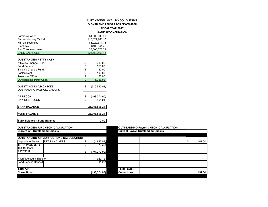### **AUSTINTOWN LOCAL SCHOOL DISTRICT MONTH END REPORT FOR NOVEMBER**

### **FISCAL YEAR 2022**

### **BANK RECONCILIATION**

| <b>Farmers Sweep</b>               | \$1,500,000.00      |
|------------------------------------|---------------------|
| <b>Farmers Money Market</b>        | \$13,824,968.10     |
| <b>HillTop Securities</b>          | \$3,220,371.14      |
| Star Ohio                          | \$108,641.72        |
| <b>Red Tree Investments</b>        | \$8,005,578.22      |
| <b>BANK BALANCES</b>               | \$26,659,559.18     |
|                                    |                     |
| <b>OUTSTANDING PETTY CASH</b>      |                     |
| <b>Athletics Change Fund</b>       | \$<br>5,000.00      |
| Food Service                       | \$<br>550.00        |
| <b>Building Change Fund</b>        | \$<br>50.00         |
| <b>Faclon Nest</b>                 | \$<br>100.00        |
| <b>Treasurer Office</b>            | \$<br>50.00         |
| <b>Outstanding Petty Cash</b>      | \$<br>5,750.00      |
|                                    |                     |
| OUTSTANDING A/P CHECKS             | \$<br>(710, 580.08) |
| <b>OUSTANDING PAYROLL CHECKS</b>   |                     |
|                                    |                     |
| AP RECON                           | \$<br>(198, 374.90) |
| <b>PAYROLL RECON</b>               | \$<br>451.04        |
| <b>BANK BALANCE</b>                | 25,756,805.24       |
|                                    |                     |
| <b>FUND BALANCE</b>                | 25,756,805.24       |
| <b>Bank Balance = Fund Balance</b> | 0.00                |
|                                    |                     |

# **Current A/P Outstanding Checks**

| <b>Surrent And Supply of Streets</b> |                                                 |    |               |
|--------------------------------------|-------------------------------------------------|----|---------------|
|                                      |                                                 |    |               |
|                                      | <b>OUTSTANDING A/P CORRECTIONS CALCULATION:</b> |    |               |
| <b>Deposits in Transit</b>           | <b>DFAS AND SERS</b>                            | S  | (1,943.53)    |
| <b>TITAN PAYMENTS</b>                |                                                 | S  | (79.30)       |
| TRUST BANK<br><b>PAYMENT</b>         |                                                 | \$ | (197, 279.99) |
|                                      |                                                 |    |               |
| Payroll Account Transfer             |                                                 |    | 929.12        |
| <b>Food Service Deposit</b>          |                                                 |    | (1.20)        |
|                                      |                                                 |    |               |
| <b>Total A/P</b>                     |                                                 |    |               |
| <b>Corrections</b>                   |                                                 |    | (198, 374.90) |
|                                      |                                                 |    |               |

### **OUTSTANDING A/P CHECK CALCULATION: OUTSTANDING Payroll CHECK CALCULATION:**

|                                 | OUTSTANDING A/P CHECK CALCULATION:                                                 |    |               | <b>OUTSTANDING PAYFOIL CHECK CALCULATION:</b> |  |  |        |  |  |  |
|---------------------------------|------------------------------------------------------------------------------------|----|---------------|-----------------------------------------------|--|--|--------|--|--|--|
|                                 | <b>Current A/P Outstanding Checks</b><br><b>Current Payroll Outstanding Checks</b> |    |               |                                               |  |  |        |  |  |  |
|                                 |                                                                                    |    |               |                                               |  |  |        |  |  |  |
|                                 | <b>OUTSTANDING A/P CORRECTIONS CALCULATION:</b>                                    |    |               |                                               |  |  |        |  |  |  |
| Deposits in Transit             | <b>IDFAS AND SERS</b>                                                              | \$ | (1,943.53)    |                                               |  |  | 451.04 |  |  |  |
| TITAN PAYMENTS                  |                                                                                    |    | (79.30)       |                                               |  |  |        |  |  |  |
| TRUST BANK<br>PAYMENT           |                                                                                    | \$ | (197, 279.99) |                                               |  |  |        |  |  |  |
|                                 |                                                                                    |    |               |                                               |  |  |        |  |  |  |
| <b>Payroll Account Transfer</b> |                                                                                    |    | 929.12        |                                               |  |  |        |  |  |  |
| <b>Food Service Deposit</b>     |                                                                                    |    | (1.20)        |                                               |  |  |        |  |  |  |
|                                 |                                                                                    |    |               |                                               |  |  |        |  |  |  |
| Total A/P                       |                                                                                    |    |               | <b>Total Payroll</b>                          |  |  |        |  |  |  |
| Corrections                     |                                                                                    |    | (198, 374.90) | <b>Corrections</b>                            |  |  | 451.04 |  |  |  |
|                                 |                                                                                    |    |               |                                               |  |  |        |  |  |  |